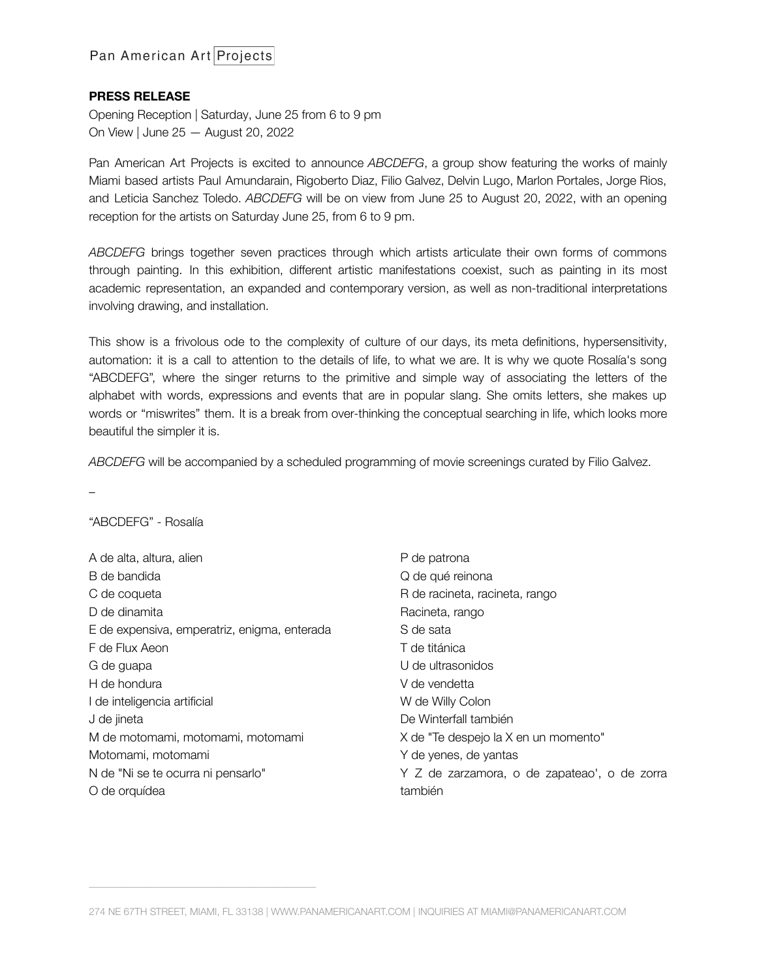# **PRESS RELEASE**

Opening Reception | Saturday, June 25 from 6 to 9 pm On View | June 25 — August 20, 2022

Pan American Art Projects is excited to announce *ABCDEFG*, a group show featuring the works of mainly Miami based artists Paul Amundarain, Rigoberto Diaz, Filio Galvez, Delvin Lugo, Marlon Portales, Jorge Rios, and Leticia Sanchez Toledo. *ABCDEFG* will be on view from June 25 to August 20, 2022, with an opening reception for the artists on Saturday June 25, from 6 to 9 pm.

*ABCDEFG* brings together seven practices through which artists articulate their own forms of commons through painting. In this exhibition, different artistic manifestations coexist, such as painting in its most academic representation, an expanded and contemporary version, as well as non-traditional interpretations involving drawing, and installation.

This show is a frivolous ode to the complexity of culture of our days, its meta definitions, hypersensitivity, automation: it is a call to attention to the details of life, to what we are. It is why we quote Rosalía's song "ABCDEFG", where the singer returns to the primitive and simple way of associating the letters of the alphabet with words, expressions and events that are in popular slang. She omits letters, she makes up words or "miswrites" them. It is a break from over-thinking the conceptual searching in life, which looks more beautiful the simpler it is.

*ABCDEFG* will be accompanied by a scheduled programming of movie screenings curated by Filio Galvez.

–

### "ABCDEFG" - Rosalía

 $\overline{\phantom{a}}$  , and the contract of the contract of the contract of the contract of the contract of the contract of the contract of the contract of the contract of the contract of the contract of the contract of the contrac

| A de alta, altura, alien                     | P de patrona                                 |
|----------------------------------------------|----------------------------------------------|
| B de bandida                                 | Q de qué reinona                             |
| C de coqueta                                 | R de racineta, racineta, rango               |
| D de dinamita                                | Racineta, rango                              |
| E de expensiva, emperatriz, enigma, enterada | S de sata                                    |
| F de Flux Aeon                               | T de titánica                                |
| G de guapa                                   | U de ultrasonidos                            |
| H de hondura                                 | V de vendetta                                |
| I de inteligencia artificial                 | W de Willy Colon                             |
| J de jineta                                  | De Winterfall también                        |
| M de motomami, motomami, motomami            | X de "Te despejo la X en un momento"         |
| Motomami, motomami                           | Y de yenes, de yantas                        |
| N de "Ni se te ocurra ni pensarlo"           | Y Z de zarzamora, o de zapateao', o de zorra |
| O de orquídea                                | también                                      |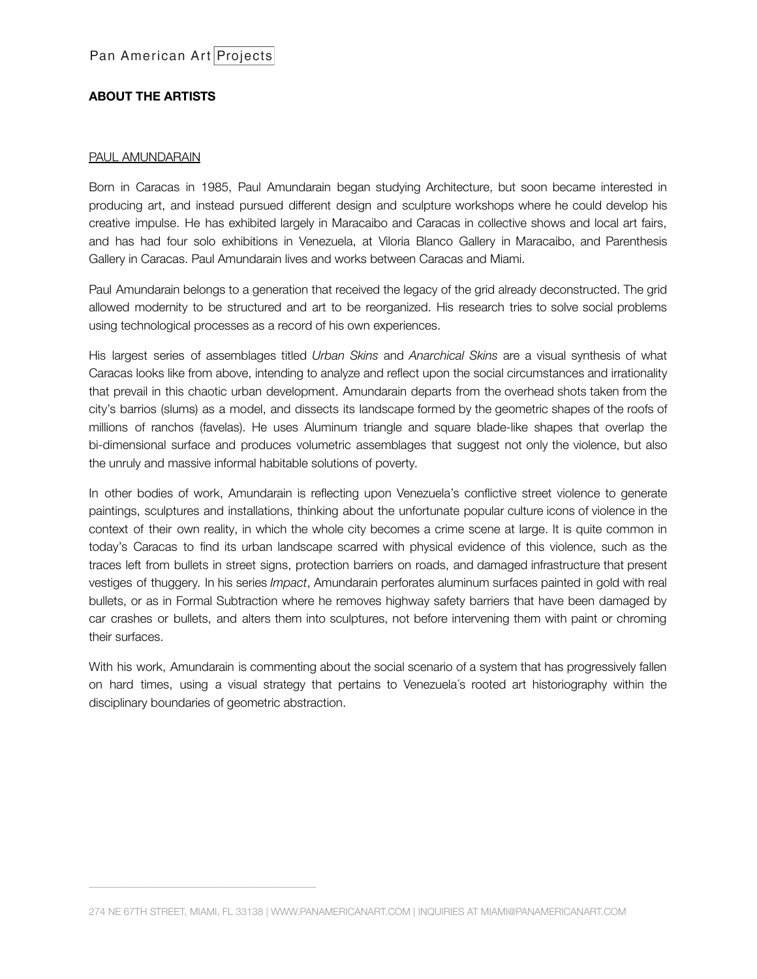# **ABOUT THE ARTISTS**

### PAUL AMUNDARAIN

Born in Caracas in 1985, Paul Amundarain began studying Architecture, but soon became interested in producing art, and instead pursued different design and sculpture workshops where he could develop his creative impulse. He has exhibited largely in Maracaibo and Caracas in collective shows and local art fairs, and has had four solo exhibitions in Venezuela, at Viloria Blanco Gallery in Maracaibo, and Parenthesis Gallery in Caracas. Paul Amundarain lives and works between Caracas and Miami.

Paul Amundarain belongs to a generation that received the legacy of the grid already deconstructed. The grid allowed modernity to be structured and art to be reorganized. His research tries to solve social problems using technological processes as a record of his own experiences.

His largest series of assemblages titled *Urban Skins* and *Anarchical Skins* are a visual synthesis of what Caracas looks like from above, intending to analyze and reflect upon the social circumstances and irrationality that prevail in this chaotic urban development. Amundarain departs from the overhead shots taken from the city's barrios (slums) as a model, and dissects its landscape formed by the geometric shapes of the roofs of millions of ranchos (favelas). He uses Aluminum triangle and square blade-like shapes that overlap the bi-dimensional surface and produces volumetric assemblages that suggest not only the violence, but also the unruly and massive informal habitable solutions of poverty.

In other bodies of work, Amundarain is reflecting upon Venezuela's conflictive street violence to generate paintings, sculptures and installations, thinking about the unfortunate popular culture icons of violence in the context of their own reality, in which the whole city becomes a crime scene at large. It is quite common in today's Caracas to find its urban landscape scarred with physical evidence of this violence, such as the traces left from bullets in street signs, protection barriers on roads, and damaged infrastructure that present vestiges of thuggery. In his series *Impact*, Amundarain perforates aluminum surfaces painted in gold with real bullets, or as in Formal Subtraction where he removes highway safety barriers that have been damaged by car crashes or bullets, and alters them into sculptures, not before intervening them with paint or chroming their surfaces.

With his work, Amundarain is commenting about the social scenario of a system that has progressively fallen on hard times, using a visual strategy that pertains to Venezuela´s rooted art historiography within the disciplinary boundaries of geometric abstraction.

 $\overline{\phantom{a}}$  , and the contract of the contract of the contract of the contract of the contract of the contract of the contract of the contract of the contract of the contract of the contract of the contract of the contrac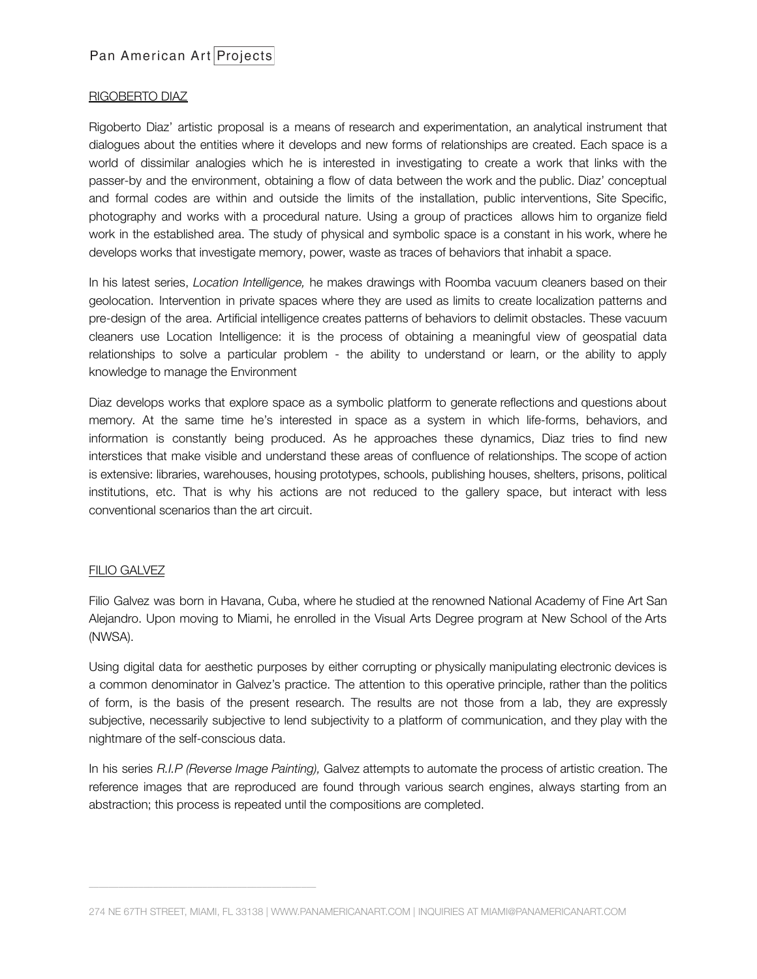### RIGOBERTO DIAZ

Rigoberto Diaz' artistic proposal is a means of research and experimentation, an analytical instrument that dialogues about the entities where it develops and new forms of relationships are created. Each space is a world of dissimilar analogies which he is interested in investigating to create a work that links with the passer-by and the environment, obtaining a flow of data between the work and the public. Diaz' conceptual and formal codes are within and outside the limits of the installation, public interventions, Site Specific, photography and works with a procedural nature. Using a group of practices allows him to organize field work in the established area. The study of physical and symbolic space is a constant in his work, where he develops works that investigate memory, power, waste as traces of behaviors that inhabit a space.

In his latest series, *Location Intelligence,* he makes drawings with Roomba vacuum cleaners based on their geolocation. Intervention in private spaces where they are used as limits to create localization patterns and pre-design of the area. Artificial intelligence creates patterns of behaviors to delimit obstacles. These vacuum cleaners use Location Intelligence: it is the process of obtaining a meaningful view of geospatial data relationships to solve a particular problem - the ability to understand or learn, or the ability to apply knowledge to manage the Environment

Diaz develops works that explore space as a symbolic platform to generate reflections and questions about memory. At the same time he's interested in space as a system in which life-forms, behaviors, and information is constantly being produced. As he approaches these dynamics, Diaz tries to find new interstices that make visible and understand these areas of confluence of relationships. The scope of action is extensive: libraries, warehouses, housing prototypes, schools, publishing houses, shelters, prisons, political institutions, etc. That is why his actions are not reduced to the gallery space, but interact with less conventional scenarios than the art circuit.

# FILIO GALVEZ

 $\overline{\phantom{a}}$  , and the contract of the contract of the contract of the contract of the contract of the contract of the contract of the contract of the contract of the contract of the contract of the contract of the contrac

Filio Galvez was born in Havana, Cuba, where he studied at the renowned National Academy of Fine Art San Alejandro. Upon moving to Miami, he enrolled in the Visual Arts Degree program at New School of the Arts (NWSA).

Using digital data for aesthetic purposes by either corrupting or physically manipulating electronic devices is a common denominator in Galvez's practice. The attention to this operative principle, rather than the politics of form, is the basis of the present research. The results are not those from a lab, they are expressly subjective, necessarily subjective to lend subjectivity to a platform of communication, and they play with the nightmare of the self-conscious data.

In his series *R.I.P (Reverse Image Painting),* Galvez attempts to automate the process of artistic creation. The reference images that are reproduced are found through various search engines, always starting from an abstraction; this process is repeated until the compositions are completed.

<sup>274</sup> NE 67TH STREET, MIAMI, FL 33138 | WWW.PANAMERICANART.COM | INQUIRIES AT MIAMI@PANAMERICANART.COM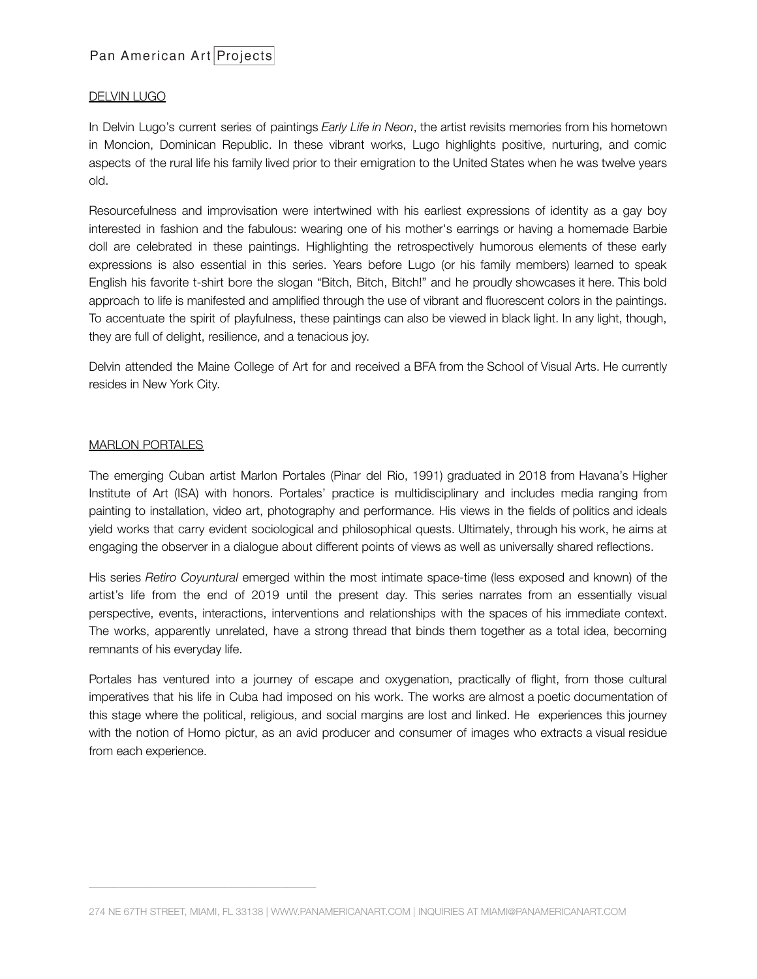# Pan American Art Projects

# DELVIN LUGO

In Delvin Lugo's current series of paintings *Early Life in Neon*, the artist revisits memories from his hometown in Moncion, Dominican Republic. In these vibrant works, Lugo highlights positive, nurturing, and comic aspects of the rural life his family lived prior to their emigration to the United States when he was twelve years old.

Resourcefulness and improvisation were intertwined with his earliest expressions of identity as a gay boy interested in fashion and the fabulous: wearing one of his mother's earrings or having a homemade Barbie doll are celebrated in these paintings. Highlighting the retrospectively humorous elements of these early expressions is also essential in this series. Years before Lugo (or his family members) learned to speak English his favorite t-shirt bore the slogan "Bitch, Bitch, Bitch!" and he proudly showcases it here. This bold approach to life is manifested and amplified through the use of vibrant and fluorescent colors in the paintings. To accentuate the spirit of playfulness, these paintings can also be viewed in black light. In any light, though, they are full of delight, resilience, and a tenacious joy.

Delvin attended the Maine College of Art for and received a BFA from the School of Visual Arts. He currently resides in New York City.

### MARLON PORTALES

 $\overline{\phantom{a}}$  , and the contract of the contract of the contract of the contract of the contract of the contract of the contract of the contract of the contract of the contract of the contract of the contract of the contrac

The emerging Cuban artist Marlon Portales (Pinar del Rio, 1991) graduated in 2018 from Havana's Higher Institute of Art (ISA) with honors. Portales' practice is multidisciplinary and includes media ranging from painting to installation, video art, photography and performance. His views in the fields of politics and ideals yield works that carry evident sociological and philosophical quests. Ultimately, through his work, he aims at engaging the observer in a dialogue about different points of views as well as universally shared reflections.

His series *Retiro Coyuntural* emerged within the most intimate space-time (less exposed and known) of the artist's life from the end of 2019 until the present day. This series narrates from an essentially visual perspective, events, interactions, interventions and relationships with the spaces of his immediate context. The works, apparently unrelated, have a strong thread that binds them together as a total idea, becoming remnants of his everyday life.

Portales has ventured into a journey of escape and oxygenation, practically of flight, from those cultural imperatives that his life in Cuba had imposed on his work. The works are almost a poetic documentation of this stage where the political, religious, and social margins are lost and linked. He experiences this journey with the notion of Homo pictur, as an avid producer and consumer of images who extracts a visual residue from each experience.

<sup>274</sup> NE 67TH STREET, MIAMI, FL 33138 | WWW.PANAMERICANART.COM | INQUIRIES AT MIAMI@PANAMERICANART.COM